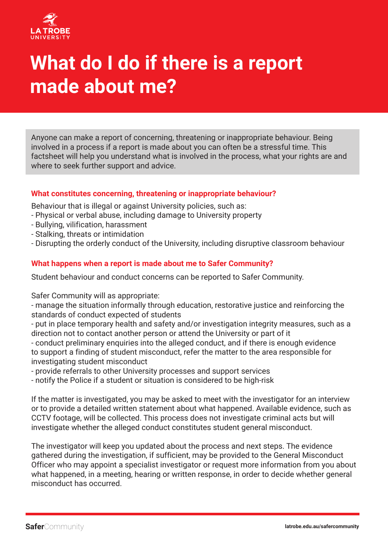

# **What do I do if there is a report made about me?**

Anyone can make a report of concerning, threatening or inappropriate behaviour. Being involved in a process if a report is made about you can often be a stressful time. This factsheet will help you understand what is involved in the process, what your rights are and where to seek further support and advice.

## **What constitutes concerning, threatening or inappropriate behaviour?**

Behaviour that is illegal or against University policies, such as:

- Physical or verbal abuse, including damage to University property
- Bullying, vilification, harassment
- Stalking, threats or intimidation
- Disrupting the orderly conduct of the University, including disruptive classroom behaviour

## **What happens when a report is made about me to Safer Community?**

Student behaviour and conduct concerns can be reported to Safer Community.

Safer Community will as appropriate:

- manage the situation informally through education, restorative justice and reinforcing the standards of conduct expected of students

- put in place temporary health and safety and/or investigation integrity measures, such as a direction not to contact another person or attend the University or part of it

- conduct preliminary enquiries into the alleged conduct, and if there is enough evidence to support a finding of student misconduct, refer the matter to the area responsible for investigating student misconduct

- provide referrals to other University processes and support services

- notify the Police if a student or situation is considered to be high-risk

If the matter is investigated, you may be asked to meet with the investigator for an interview or to provide a detailed written statement about what happened. Available evidence, such as CCTV footage, will be collected. This process does not investigate criminal acts but will investigate whether the alleged conduct constitutes student general misconduct.

The investigator will keep you updated about the process and next steps. The evidence gathered during the investigation, if sufficient, may be provided to the General Misconduct Officer who may appoint a specialist investigator or request more information from you about what happened, in a meeting, hearing or written response, in order to decide whether general misconduct has occurred.